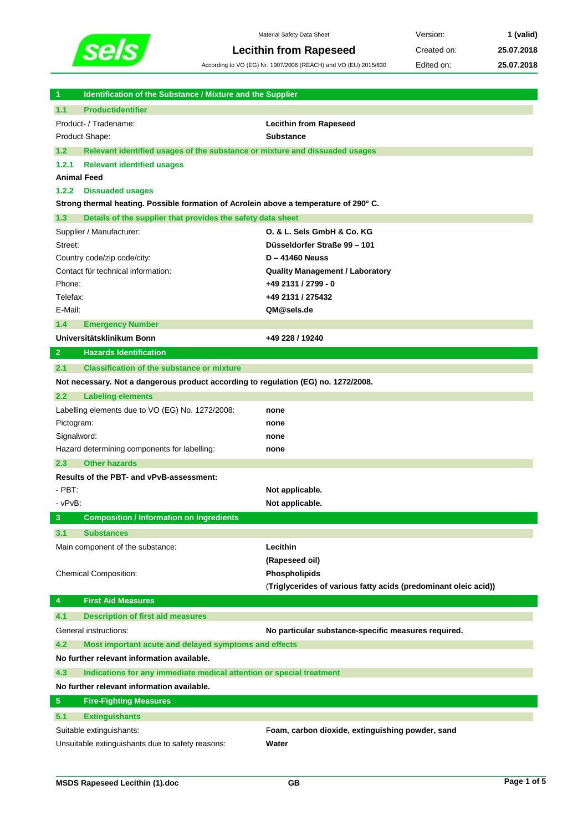

I

Material Safety Data Sheet **Version: 1 (valid) Lecithin from Rapeseed** Created on: **25.07.2018**

According to VO (EG) Nr. 1907/2006 (REACH) and VO (EU) 2015/830 Edited on: **25.07.2018**

| <b>Productidentifier</b><br>1.1<br>Product- / Tradename:<br><b>Lecithin from Rapeseed</b><br>Product Shape:<br>Substance<br>Relevant identified usages of the substance or mixture and dissuaded usages<br>1.2<br><b>Relevant identified usages</b><br>1.2.1<br><b>Animal Feed</b><br>1.2.2<br><b>Dissuaded usages</b><br>Strong thermal heating. Possible formation of Acrolein above a temperature of 290° C.<br>Details of the supplier that provides the safety data sheet<br>1.3<br>Supplier / Manufacturer:<br>O. & L. Sels GmbH & Co. KG<br>Düsseldorfer Straße 99 - 101<br>Street:<br>$D - 41460$ Neuss<br>Country code/zip code/city:<br>Contact für technical information:<br><b>Quality Management / Laboratory</b><br>+49 2131 / 2799 - 0<br>Phone:<br>Telefax:<br>+49 2131 / 275432<br>E-Mail:<br>QM@sels.de<br>1.4<br><b>Emergency Number</b><br>Universitätsklinikum Bonn<br>+49 228 / 19240<br><b>Hazards Identification</b><br>$\overline{2}$<br>2.1<br><b>Classification of the substance or mixture</b><br>Not necessary. Not a dangerous product according to regulation (EG) no. 1272/2008.<br><b>Labeling elements</b><br>2.2<br>Labelling elements due to VO (EG) No. 1272/2008:<br>none<br>Pictogram:<br>none<br>Signalword:<br>none<br>Hazard determining components for labelling:<br>none<br>2.3<br><b>Other hazards</b><br>Results of the PBT- and vPvB-assessment:<br>- PBT:<br>Not applicable.<br>- vPvB:<br>Not applicable.<br>3 <sup>2</sup><br><b>Composition / Information on Ingredients</b><br>3.1<br><b>Substances</b><br>Lecithin<br>Main component of the substance:<br>(Rapeseed oil)<br>Chemical Composition:<br>Phospholipids<br>(Triglycerides of various fatty acids (predominant oleic acid))<br><b>First Aid Measures</b><br>4<br><b>Description of first aid measures</b><br>4.1<br>General instructions:<br>No particular substance-specific measures required.<br>4.2<br>Most important acute and delayed symptoms and effects |                                                  |                                                  |
|---------------------------------------------------------------------------------------------------------------------------------------------------------------------------------------------------------------------------------------------------------------------------------------------------------------------------------------------------------------------------------------------------------------------------------------------------------------------------------------------------------------------------------------------------------------------------------------------------------------------------------------------------------------------------------------------------------------------------------------------------------------------------------------------------------------------------------------------------------------------------------------------------------------------------------------------------------------------------------------------------------------------------------------------------------------------------------------------------------------------------------------------------------------------------------------------------------------------------------------------------------------------------------------------------------------------------------------------------------------------------------------------------------------------------------------------------------------------------------------------------------------------------------------------------------------------------------------------------------------------------------------------------------------------------------------------------------------------------------------------------------------------------------------------------------------------------------------------------------------------------------------------------------------------------------------------------------------------------------|--------------------------------------------------|--------------------------------------------------|
|                                                                                                                                                                                                                                                                                                                                                                                                                                                                                                                                                                                                                                                                                                                                                                                                                                                                                                                                                                                                                                                                                                                                                                                                                                                                                                                                                                                                                                                                                                                                                                                                                                                                                                                                                                                                                                                                                                                                                                                 |                                                  |                                                  |
|                                                                                                                                                                                                                                                                                                                                                                                                                                                                                                                                                                                                                                                                                                                                                                                                                                                                                                                                                                                                                                                                                                                                                                                                                                                                                                                                                                                                                                                                                                                                                                                                                                                                                                                                                                                                                                                                                                                                                                                 |                                                  |                                                  |
|                                                                                                                                                                                                                                                                                                                                                                                                                                                                                                                                                                                                                                                                                                                                                                                                                                                                                                                                                                                                                                                                                                                                                                                                                                                                                                                                                                                                                                                                                                                                                                                                                                                                                                                                                                                                                                                                                                                                                                                 |                                                  |                                                  |
|                                                                                                                                                                                                                                                                                                                                                                                                                                                                                                                                                                                                                                                                                                                                                                                                                                                                                                                                                                                                                                                                                                                                                                                                                                                                                                                                                                                                                                                                                                                                                                                                                                                                                                                                                                                                                                                                                                                                                                                 |                                                  |                                                  |
|                                                                                                                                                                                                                                                                                                                                                                                                                                                                                                                                                                                                                                                                                                                                                                                                                                                                                                                                                                                                                                                                                                                                                                                                                                                                                                                                                                                                                                                                                                                                                                                                                                                                                                                                                                                                                                                                                                                                                                                 |                                                  |                                                  |
|                                                                                                                                                                                                                                                                                                                                                                                                                                                                                                                                                                                                                                                                                                                                                                                                                                                                                                                                                                                                                                                                                                                                                                                                                                                                                                                                                                                                                                                                                                                                                                                                                                                                                                                                                                                                                                                                                                                                                                                 |                                                  |                                                  |
|                                                                                                                                                                                                                                                                                                                                                                                                                                                                                                                                                                                                                                                                                                                                                                                                                                                                                                                                                                                                                                                                                                                                                                                                                                                                                                                                                                                                                                                                                                                                                                                                                                                                                                                                                                                                                                                                                                                                                                                 |                                                  |                                                  |
|                                                                                                                                                                                                                                                                                                                                                                                                                                                                                                                                                                                                                                                                                                                                                                                                                                                                                                                                                                                                                                                                                                                                                                                                                                                                                                                                                                                                                                                                                                                                                                                                                                                                                                                                                                                                                                                                                                                                                                                 |                                                  |                                                  |
|                                                                                                                                                                                                                                                                                                                                                                                                                                                                                                                                                                                                                                                                                                                                                                                                                                                                                                                                                                                                                                                                                                                                                                                                                                                                                                                                                                                                                                                                                                                                                                                                                                                                                                                                                                                                                                                                                                                                                                                 |                                                  |                                                  |
|                                                                                                                                                                                                                                                                                                                                                                                                                                                                                                                                                                                                                                                                                                                                                                                                                                                                                                                                                                                                                                                                                                                                                                                                                                                                                                                                                                                                                                                                                                                                                                                                                                                                                                                                                                                                                                                                                                                                                                                 |                                                  |                                                  |
|                                                                                                                                                                                                                                                                                                                                                                                                                                                                                                                                                                                                                                                                                                                                                                                                                                                                                                                                                                                                                                                                                                                                                                                                                                                                                                                                                                                                                                                                                                                                                                                                                                                                                                                                                                                                                                                                                                                                                                                 |                                                  |                                                  |
|                                                                                                                                                                                                                                                                                                                                                                                                                                                                                                                                                                                                                                                                                                                                                                                                                                                                                                                                                                                                                                                                                                                                                                                                                                                                                                                                                                                                                                                                                                                                                                                                                                                                                                                                                                                                                                                                                                                                                                                 |                                                  |                                                  |
|                                                                                                                                                                                                                                                                                                                                                                                                                                                                                                                                                                                                                                                                                                                                                                                                                                                                                                                                                                                                                                                                                                                                                                                                                                                                                                                                                                                                                                                                                                                                                                                                                                                                                                                                                                                                                                                                                                                                                                                 |                                                  |                                                  |
|                                                                                                                                                                                                                                                                                                                                                                                                                                                                                                                                                                                                                                                                                                                                                                                                                                                                                                                                                                                                                                                                                                                                                                                                                                                                                                                                                                                                                                                                                                                                                                                                                                                                                                                                                                                                                                                                                                                                                                                 |                                                  |                                                  |
|                                                                                                                                                                                                                                                                                                                                                                                                                                                                                                                                                                                                                                                                                                                                                                                                                                                                                                                                                                                                                                                                                                                                                                                                                                                                                                                                                                                                                                                                                                                                                                                                                                                                                                                                                                                                                                                                                                                                                                                 |                                                  |                                                  |
|                                                                                                                                                                                                                                                                                                                                                                                                                                                                                                                                                                                                                                                                                                                                                                                                                                                                                                                                                                                                                                                                                                                                                                                                                                                                                                                                                                                                                                                                                                                                                                                                                                                                                                                                                                                                                                                                                                                                                                                 |                                                  |                                                  |
|                                                                                                                                                                                                                                                                                                                                                                                                                                                                                                                                                                                                                                                                                                                                                                                                                                                                                                                                                                                                                                                                                                                                                                                                                                                                                                                                                                                                                                                                                                                                                                                                                                                                                                                                                                                                                                                                                                                                                                                 |                                                  |                                                  |
|                                                                                                                                                                                                                                                                                                                                                                                                                                                                                                                                                                                                                                                                                                                                                                                                                                                                                                                                                                                                                                                                                                                                                                                                                                                                                                                                                                                                                                                                                                                                                                                                                                                                                                                                                                                                                                                                                                                                                                                 |                                                  |                                                  |
|                                                                                                                                                                                                                                                                                                                                                                                                                                                                                                                                                                                                                                                                                                                                                                                                                                                                                                                                                                                                                                                                                                                                                                                                                                                                                                                                                                                                                                                                                                                                                                                                                                                                                                                                                                                                                                                                                                                                                                                 |                                                  |                                                  |
|                                                                                                                                                                                                                                                                                                                                                                                                                                                                                                                                                                                                                                                                                                                                                                                                                                                                                                                                                                                                                                                                                                                                                                                                                                                                                                                                                                                                                                                                                                                                                                                                                                                                                                                                                                                                                                                                                                                                                                                 |                                                  |                                                  |
|                                                                                                                                                                                                                                                                                                                                                                                                                                                                                                                                                                                                                                                                                                                                                                                                                                                                                                                                                                                                                                                                                                                                                                                                                                                                                                                                                                                                                                                                                                                                                                                                                                                                                                                                                                                                                                                                                                                                                                                 |                                                  |                                                  |
|                                                                                                                                                                                                                                                                                                                                                                                                                                                                                                                                                                                                                                                                                                                                                                                                                                                                                                                                                                                                                                                                                                                                                                                                                                                                                                                                                                                                                                                                                                                                                                                                                                                                                                                                                                                                                                                                                                                                                                                 |                                                  |                                                  |
|                                                                                                                                                                                                                                                                                                                                                                                                                                                                                                                                                                                                                                                                                                                                                                                                                                                                                                                                                                                                                                                                                                                                                                                                                                                                                                                                                                                                                                                                                                                                                                                                                                                                                                                                                                                                                                                                                                                                                                                 |                                                  |                                                  |
|                                                                                                                                                                                                                                                                                                                                                                                                                                                                                                                                                                                                                                                                                                                                                                                                                                                                                                                                                                                                                                                                                                                                                                                                                                                                                                                                                                                                                                                                                                                                                                                                                                                                                                                                                                                                                                                                                                                                                                                 |                                                  |                                                  |
|                                                                                                                                                                                                                                                                                                                                                                                                                                                                                                                                                                                                                                                                                                                                                                                                                                                                                                                                                                                                                                                                                                                                                                                                                                                                                                                                                                                                                                                                                                                                                                                                                                                                                                                                                                                                                                                                                                                                                                                 |                                                  |                                                  |
|                                                                                                                                                                                                                                                                                                                                                                                                                                                                                                                                                                                                                                                                                                                                                                                                                                                                                                                                                                                                                                                                                                                                                                                                                                                                                                                                                                                                                                                                                                                                                                                                                                                                                                                                                                                                                                                                                                                                                                                 |                                                  |                                                  |
|                                                                                                                                                                                                                                                                                                                                                                                                                                                                                                                                                                                                                                                                                                                                                                                                                                                                                                                                                                                                                                                                                                                                                                                                                                                                                                                                                                                                                                                                                                                                                                                                                                                                                                                                                                                                                                                                                                                                                                                 |                                                  |                                                  |
|                                                                                                                                                                                                                                                                                                                                                                                                                                                                                                                                                                                                                                                                                                                                                                                                                                                                                                                                                                                                                                                                                                                                                                                                                                                                                                                                                                                                                                                                                                                                                                                                                                                                                                                                                                                                                                                                                                                                                                                 |                                                  |                                                  |
|                                                                                                                                                                                                                                                                                                                                                                                                                                                                                                                                                                                                                                                                                                                                                                                                                                                                                                                                                                                                                                                                                                                                                                                                                                                                                                                                                                                                                                                                                                                                                                                                                                                                                                                                                                                                                                                                                                                                                                                 |                                                  |                                                  |
|                                                                                                                                                                                                                                                                                                                                                                                                                                                                                                                                                                                                                                                                                                                                                                                                                                                                                                                                                                                                                                                                                                                                                                                                                                                                                                                                                                                                                                                                                                                                                                                                                                                                                                                                                                                                                                                                                                                                                                                 |                                                  |                                                  |
|                                                                                                                                                                                                                                                                                                                                                                                                                                                                                                                                                                                                                                                                                                                                                                                                                                                                                                                                                                                                                                                                                                                                                                                                                                                                                                                                                                                                                                                                                                                                                                                                                                                                                                                                                                                                                                                                                                                                                                                 |                                                  |                                                  |
|                                                                                                                                                                                                                                                                                                                                                                                                                                                                                                                                                                                                                                                                                                                                                                                                                                                                                                                                                                                                                                                                                                                                                                                                                                                                                                                                                                                                                                                                                                                                                                                                                                                                                                                                                                                                                                                                                                                                                                                 |                                                  |                                                  |
|                                                                                                                                                                                                                                                                                                                                                                                                                                                                                                                                                                                                                                                                                                                                                                                                                                                                                                                                                                                                                                                                                                                                                                                                                                                                                                                                                                                                                                                                                                                                                                                                                                                                                                                                                                                                                                                                                                                                                                                 |                                                  |                                                  |
|                                                                                                                                                                                                                                                                                                                                                                                                                                                                                                                                                                                                                                                                                                                                                                                                                                                                                                                                                                                                                                                                                                                                                                                                                                                                                                                                                                                                                                                                                                                                                                                                                                                                                                                                                                                                                                                                                                                                                                                 |                                                  |                                                  |
|                                                                                                                                                                                                                                                                                                                                                                                                                                                                                                                                                                                                                                                                                                                                                                                                                                                                                                                                                                                                                                                                                                                                                                                                                                                                                                                                                                                                                                                                                                                                                                                                                                                                                                                                                                                                                                                                                                                                                                                 |                                                  |                                                  |
|                                                                                                                                                                                                                                                                                                                                                                                                                                                                                                                                                                                                                                                                                                                                                                                                                                                                                                                                                                                                                                                                                                                                                                                                                                                                                                                                                                                                                                                                                                                                                                                                                                                                                                                                                                                                                                                                                                                                                                                 |                                                  |                                                  |
|                                                                                                                                                                                                                                                                                                                                                                                                                                                                                                                                                                                                                                                                                                                                                                                                                                                                                                                                                                                                                                                                                                                                                                                                                                                                                                                                                                                                                                                                                                                                                                                                                                                                                                                                                                                                                                                                                                                                                                                 |                                                  |                                                  |
|                                                                                                                                                                                                                                                                                                                                                                                                                                                                                                                                                                                                                                                                                                                                                                                                                                                                                                                                                                                                                                                                                                                                                                                                                                                                                                                                                                                                                                                                                                                                                                                                                                                                                                                                                                                                                                                                                                                                                                                 |                                                  |                                                  |
|                                                                                                                                                                                                                                                                                                                                                                                                                                                                                                                                                                                                                                                                                                                                                                                                                                                                                                                                                                                                                                                                                                                                                                                                                                                                                                                                                                                                                                                                                                                                                                                                                                                                                                                                                                                                                                                                                                                                                                                 |                                                  |                                                  |
|                                                                                                                                                                                                                                                                                                                                                                                                                                                                                                                                                                                                                                                                                                                                                                                                                                                                                                                                                                                                                                                                                                                                                                                                                                                                                                                                                                                                                                                                                                                                                                                                                                                                                                                                                                                                                                                                                                                                                                                 |                                                  |                                                  |
|                                                                                                                                                                                                                                                                                                                                                                                                                                                                                                                                                                                                                                                                                                                                                                                                                                                                                                                                                                                                                                                                                                                                                                                                                                                                                                                                                                                                                                                                                                                                                                                                                                                                                                                                                                                                                                                                                                                                                                                 |                                                  |                                                  |
|                                                                                                                                                                                                                                                                                                                                                                                                                                                                                                                                                                                                                                                                                                                                                                                                                                                                                                                                                                                                                                                                                                                                                                                                                                                                                                                                                                                                                                                                                                                                                                                                                                                                                                                                                                                                                                                                                                                                                                                 |                                                  |                                                  |
| No further relevant information available.                                                                                                                                                                                                                                                                                                                                                                                                                                                                                                                                                                                                                                                                                                                                                                                                                                                                                                                                                                                                                                                                                                                                                                                                                                                                                                                                                                                                                                                                                                                                                                                                                                                                                                                                                                                                                                                                                                                                      |                                                  |                                                  |
| 4.3<br>Indications for any immediate medical attention or special treatment                                                                                                                                                                                                                                                                                                                                                                                                                                                                                                                                                                                                                                                                                                                                                                                                                                                                                                                                                                                                                                                                                                                                                                                                                                                                                                                                                                                                                                                                                                                                                                                                                                                                                                                                                                                                                                                                                                     |                                                  |                                                  |
| No further relevant information available.                                                                                                                                                                                                                                                                                                                                                                                                                                                                                                                                                                                                                                                                                                                                                                                                                                                                                                                                                                                                                                                                                                                                                                                                                                                                                                                                                                                                                                                                                                                                                                                                                                                                                                                                                                                                                                                                                                                                      |                                                  |                                                  |
| $\sqrt{5}$<br><b>Fire-Fighting Measures</b>                                                                                                                                                                                                                                                                                                                                                                                                                                                                                                                                                                                                                                                                                                                                                                                                                                                                                                                                                                                                                                                                                                                                                                                                                                                                                                                                                                                                                                                                                                                                                                                                                                                                                                                                                                                                                                                                                                                                     |                                                  |                                                  |
| 5.1<br><b>Extinguishants</b>                                                                                                                                                                                                                                                                                                                                                                                                                                                                                                                                                                                                                                                                                                                                                                                                                                                                                                                                                                                                                                                                                                                                                                                                                                                                                                                                                                                                                                                                                                                                                                                                                                                                                                                                                                                                                                                                                                                                                    |                                                  |                                                  |
|                                                                                                                                                                                                                                                                                                                                                                                                                                                                                                                                                                                                                                                                                                                                                                                                                                                                                                                                                                                                                                                                                                                                                                                                                                                                                                                                                                                                                                                                                                                                                                                                                                                                                                                                                                                                                                                                                                                                                                                 |                                                  | Foam, carbon dioxide, extinguishing powder, sand |
| Suitable extinguishants:                                                                                                                                                                                                                                                                                                                                                                                                                                                                                                                                                                                                                                                                                                                                                                                                                                                                                                                                                                                                                                                                                                                                                                                                                                                                                                                                                                                                                                                                                                                                                                                                                                                                                                                                                                                                                                                                                                                                                        | Unsuitable extinguishants due to safety reasons: | Water                                            |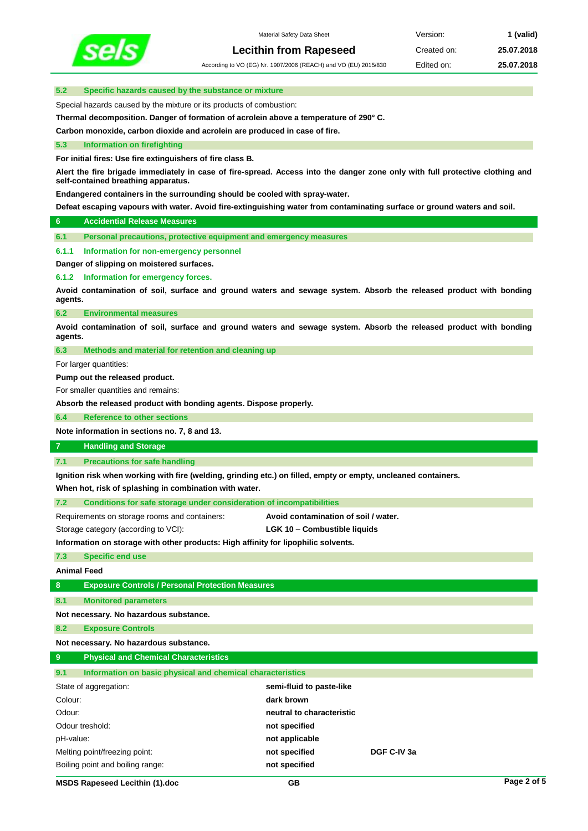

According to VO (EG) Nr. 1907/2006 (REACH) and VO (EU) 2015/830 Edited on: **25.07.2018**

## **5.2 Specific hazards caused by the substance or mixture**

Special hazards caused by the mixture or its products of combustion:

**Thermal decomposition. Danger of formation of acrolein above a temperature of 290° C.**

**Carbon monoxide, carbon dioxide and acrolein are produced in case of fire.**

### **5.3 Information on firefighting**

**For initial fires: Use fire extinguishers of fire class B.**

**Alert the fire brigade immediately in case of fire-spread. Access into the danger zone only with full protective clothing and self-contained breathing apparatus.** 

**Endangered containers in the surrounding should be cooled with spray-water.**

**Defeat escaping vapours with water. Avoid fire-extinguishing water from contaminating surface or ground waters and soil.**

## **6 Accidential Release Measures**

**6.1 Personal precautions, protective equipment and emergency measures**

#### **6.1.1 Information for non-emergency personnel**

**Danger of slipping on moistered surfaces.**

**6.1.2 Information for emergency forces.**

**Avoid contamination of soil, surface and ground waters and sewage system. Absorb the released product with bonding agents.**

**6.2 Environmental measures**

**Avoid contamination of soil, surface and ground waters and sewage system. Absorb the released product with bonding agents.**

**6.3 Methods and material for retention and cleaning up**

For larger quantities:

**Pump out the released product.**

For smaller quantities and remains:

**Absorb the released product with bonding agents. Dispose properly.**

**6.4 Reference to other sections**

**Note information in sections no. 7, 8 and 13.**

# **7 Handling and Storage**

**7.1 Precautions for safe handling**

**Ignition risk when working with fire (welding, grinding etc.) on filled, empty or empty, uncleaned containers.**

**When hot, risk of splashing in combination with water.**

**7.2 Conditions for safe storage under consideration of incompatibilities**

Requirements on storage rooms and containers: **Avoid contamination of soil / water.**

Storage category (according to VCI): **LGK 10 – Combustible liquids**

**Information on storage with other products: High affinity for lipophilic solvents.**

## **7.3 Specific end use**

**Animal Feed**

**8 Exposure Controls / Personal Protection Measures**

**8.1 Monitored parameters**

**Not necessary. No hazardous substance.**

**8.2 Exposure Controls**

**Not necessary. No hazardous substance.**

## **9 Physical and Chemical Characteristics**

| Information on basic physical and chemical characteristics<br>9.1 |                           |             |
|-------------------------------------------------------------------|---------------------------|-------------|
| State of aggregation:                                             | semi-fluid to paste-like  |             |
| Colour:                                                           | dark brown                |             |
| Odour:                                                            | neutral to characteristic |             |
| Odour treshold:                                                   | not specified             |             |
| pH-value:                                                         | not applicable            |             |
| Melting point/freezing point:                                     | not specified             | DGF C-IV 3a |
| Boiling point and boiling range:                                  | not specified             |             |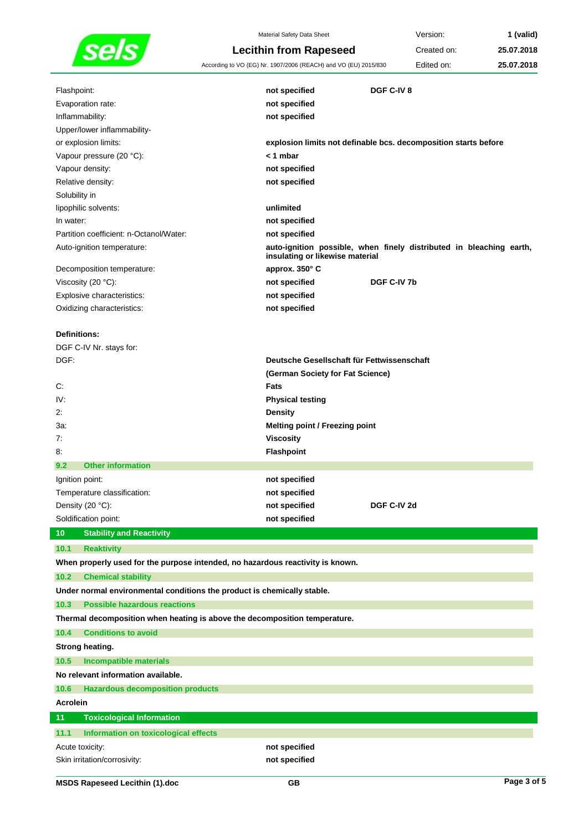

Material Safety Data Sheet **Version: 1 (valid) Lecithin from Rapeseed** Created on: **25.07.2018** According to VO (EG) Nr. 1907/2006 (REACH) and VO (EU) 2015/830 Edited on: **25.07.2018**

| Flashpoint:                                                                    | not specified                              | DGF C-IV 8                                                          |
|--------------------------------------------------------------------------------|--------------------------------------------|---------------------------------------------------------------------|
| Evaporation rate:                                                              | not specified                              |                                                                     |
| Inflammability:                                                                | not specified                              |                                                                     |
| Upper/lower inflammability-                                                    |                                            |                                                                     |
| or explosion limits:                                                           |                                            | explosion limits not definable bcs. decomposition starts before     |
| Vapour pressure (20 °C):                                                       | $<$ 1 mbar                                 |                                                                     |
| Vapour density:                                                                | not specified                              |                                                                     |
| Relative density:                                                              | not specified                              |                                                                     |
| Solubility in                                                                  |                                            |                                                                     |
| lipophilic solvents:                                                           | unlimited                                  |                                                                     |
| In water:                                                                      | not specified                              |                                                                     |
| Partition coefficient: n-Octanol/Water:                                        | not specified                              |                                                                     |
| Auto-ignition temperature:                                                     | insulating or likewise material            | auto-ignition possible, when finely distributed in bleaching earth, |
| Decomposition temperature:                                                     | approx. 350° C                             |                                                                     |
| Viscosity (20 °C):                                                             | not specified                              | DGF C-IV 7b                                                         |
| Explosive characteristics:                                                     | not specified                              |                                                                     |
| Oxidizing characteristics:                                                     | not specified                              |                                                                     |
|                                                                                |                                            |                                                                     |
| <b>Definitions:</b>                                                            |                                            |                                                                     |
| DGF C-IV Nr. stays for:                                                        |                                            |                                                                     |
| DGF:                                                                           | Deutsche Gesellschaft für Fettwissenschaft |                                                                     |
|                                                                                | (German Society for Fat Science)           |                                                                     |
| C:                                                                             | Fats                                       |                                                                     |
| IV:                                                                            | <b>Physical testing</b>                    |                                                                     |
| 2:                                                                             | <b>Density</b>                             |                                                                     |
| 3а:                                                                            | <b>Melting point / Freezing point</b>      |                                                                     |
| 7:                                                                             | <b>Viscosity</b>                           |                                                                     |
| 8.                                                                             | Flashpoint                                 |                                                                     |
| <b>Other information</b><br>9.2                                                |                                            |                                                                     |
| Ignition point:                                                                | not specified                              |                                                                     |
| Temperature classification:                                                    | not specified                              |                                                                     |
| Density (20 °C):                                                               | not specified                              | DGF C-IV 2d                                                         |
| Soldification point:                                                           | not specified                              |                                                                     |
| <b>Stability and Reactivity</b><br>10 <sub>1</sub>                             |                                            |                                                                     |
| 10.1<br><b>Reaktivity</b>                                                      |                                            |                                                                     |
| When properly used for the purpose intended, no hazardous reactivity is known. |                                            |                                                                     |
| 10.2<br><b>Chemical stability</b>                                              |                                            |                                                                     |
| Under normal environmental conditions the product is chemically stable.        |                                            |                                                                     |
| <b>Possible hazardous reactions</b><br>10.3                                    |                                            |                                                                     |
| Thermal decomposition when heating is above the decomposition temperature.     |                                            |                                                                     |
|                                                                                |                                            |                                                                     |
| <b>Conditions to avoid</b><br>10.4                                             |                                            |                                                                     |
| Strong heating.                                                                |                                            |                                                                     |
| 10.5<br><b>Incompatible materials</b>                                          |                                            |                                                                     |
| No relevant information available.                                             |                                            |                                                                     |
| 10.6<br><b>Hazardous decomposition products</b>                                |                                            |                                                                     |
| <b>Acrolein</b>                                                                |                                            |                                                                     |
| 11<br><b>Toxicological Information</b>                                         |                                            |                                                                     |
| 11.1<br>Information on toxicological effects                                   |                                            |                                                                     |
| Acute toxicity:                                                                | not specified                              |                                                                     |
| Skin irritation/corrosivity:                                                   | not specified                              |                                                                     |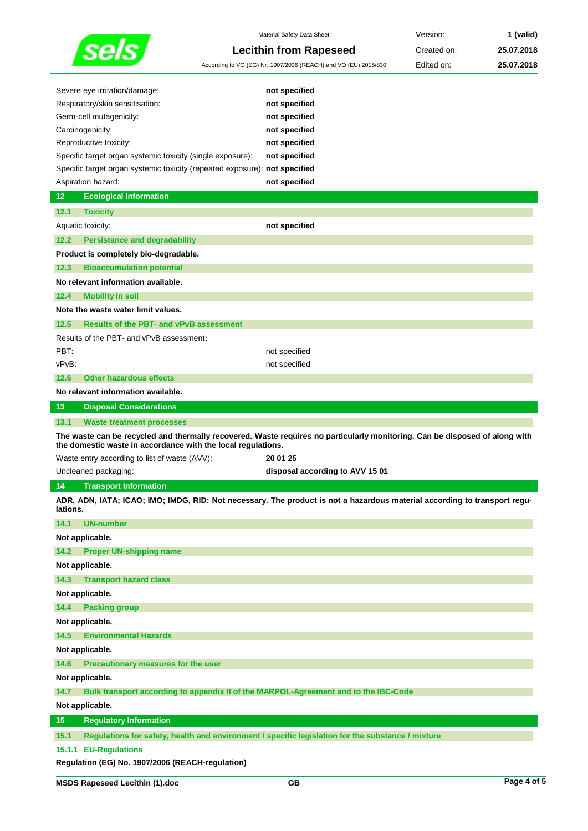|                                                                            | Material Safety Data Sheet                                                                                                  | Version:    | 1 (valid)  |
|----------------------------------------------------------------------------|-----------------------------------------------------------------------------------------------------------------------------|-------------|------------|
|                                                                            | <b>Lecithin from Rapeseed</b>                                                                                               | Created on: | 25.07.2018 |
|                                                                            | According to VO (EG) Nr. 1907/2006 (REACH) and VO (EU) 2015/830                                                             | Edited on:  | 25.07.2018 |
|                                                                            |                                                                                                                             |             |            |
| Severe eye irritation/damage:                                              | not specified                                                                                                               |             |            |
| Respiratory/skin sensitisation:                                            | not specified                                                                                                               |             |            |
| Germ-cell mutagenicity:                                                    | not specified                                                                                                               |             |            |
| Carcinogenicity:                                                           | not specified                                                                                                               |             |            |
| Reproductive toxicity:                                                     | not specified                                                                                                               |             |            |
| Specific target organ systemic toxicity (single exposure):                 | not specified                                                                                                               |             |            |
| Specific target organ systemic toxicity (repeated exposure): not specified |                                                                                                                             |             |            |
| Aspiration hazard:                                                         | not specified                                                                                                               |             |            |
| 12<br><b>Ecological Information</b>                                        |                                                                                                                             |             |            |
| 12.1<br><b>Toxicity</b>                                                    |                                                                                                                             |             |            |
| Aquatic toxicity:                                                          | not specified                                                                                                               |             |            |
| <b>Persistance and degradability</b><br>12.2                               |                                                                                                                             |             |            |
| Product is completely bio-degradable.                                      |                                                                                                                             |             |            |
| 12.3<br><b>Bioaccumulation potential</b>                                   |                                                                                                                             |             |            |
| No relevant information available.                                         |                                                                                                                             |             |            |
| 12.4<br><b>Mobility in soil</b>                                            |                                                                                                                             |             |            |
| Note the waste water limit values.                                         |                                                                                                                             |             |            |
| 12.5<br><b>Results of the PBT- and vPvB assessment</b>                     |                                                                                                                             |             |            |
| Results of the PBT- and vPvB assessment:                                   |                                                                                                                             |             |            |
| PBT:                                                                       | not specified                                                                                                               |             |            |
| vPvB:                                                                      | not specified                                                                                                               |             |            |
| 12.6<br><b>Other hazardous effects</b>                                     |                                                                                                                             |             |            |
| No relevant information available.                                         |                                                                                                                             |             |            |
| 13<br><b>Disposal Considerations</b>                                       |                                                                                                                             |             |            |
| 13.1<br><b>Waste treatment processes</b>                                   |                                                                                                                             |             |            |
| the domestic waste in accordance with the local regulations.               | The waste can be recycled and thermally recovered. Waste requires no particularly monitoring. Can be disposed of along with |             |            |
| Waste entry according to list of waste (AVV):                              | 20 01 25                                                                                                                    |             |            |
|                                                                            | disposal according to AVV 15 01                                                                                             |             |            |
|                                                                            |                                                                                                                             |             |            |
| Uncleaned packaging:                                                       |                                                                                                                             |             |            |
| 14<br><b>Transport Information</b>                                         | ADR, ADN, IATA; ICAO; IMO; IMDG, RID: Not necessary. The product is not a hazardous material according to transport regu-   |             |            |
| lations.                                                                   |                                                                                                                             |             |            |
| 14.1<br><b>UN-number</b>                                                   |                                                                                                                             |             |            |
| Not applicable.                                                            |                                                                                                                             |             |            |
| 14.2<br><b>Proper UN-shipping name</b>                                     |                                                                                                                             |             |            |
| Not applicable.                                                            |                                                                                                                             |             |            |
| 14.3<br><b>Transport hazard class</b>                                      |                                                                                                                             |             |            |
| Not applicable.                                                            |                                                                                                                             |             |            |
| <b>Packing group</b><br>14.4                                               |                                                                                                                             |             |            |
| Not applicable.                                                            |                                                                                                                             |             |            |
| 14.5<br><b>Environmental Hazards</b>                                       |                                                                                                                             |             |            |
| Not applicable.                                                            |                                                                                                                             |             |            |
| Precautionary measures for the user<br>14.6                                |                                                                                                                             |             |            |
| Not applicable.                                                            |                                                                                                                             |             |            |
| 14.7                                                                       | Bulk transport according to appendix II of the MARPOL-Agreement and to the IBC-Code                                         |             |            |
| Not applicable.                                                            |                                                                                                                             |             |            |
| 15<br><b>Regulatory Information</b>                                        |                                                                                                                             |             |            |
| 15.1<br>15.1.1 EU-Regulations                                              | Regulations for safety, health and environment / specific legislation for the substance / mixture                           |             |            |